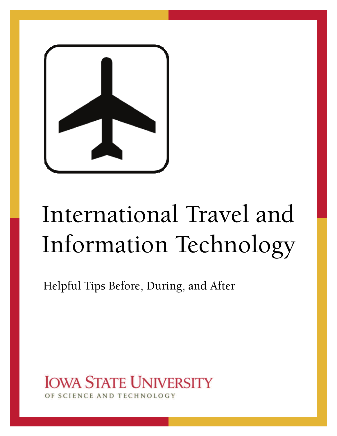

# International Travel and Information Technology

Helpful Tips Before, During, and After

**IOWA STATE UNIVERSITY** CIENCE AND TECHNOLOGY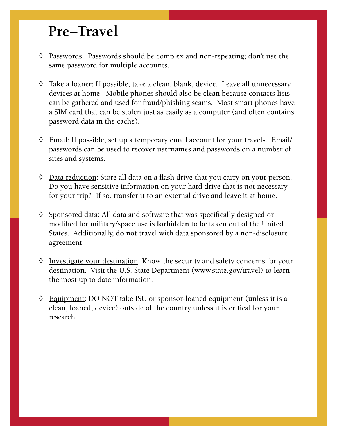#### **Pre–Travel**

- $\Diamond$  Passwords: Passwords should be complex and non-repeating; don't use the same password for multiple accounts.
- $\Diamond$  Take a loaner: If possible, take a clean, blank, device. Leave all unnecessary devices at home. Mobile phones should also be clean because contacts lists can be gathered and used for fraud/phishing scams. Most smart phones have a SIM card that can be stolen just as easily as a computer (and often contains password data in the cache).
- $\Diamond$  Email: If possible, set up a temporary email account for your travels. Email/ passwords can be used to recover usernames and passwords on a number of sites and systems.
- $\Diamond$  Data reduction: Store all data on a flash drive that you carry on your person. Do you have sensitive information on your hard drive that is not necessary for your trip? If so, transfer it to an external drive and leave it at home.
- $\Diamond$  Sponsored data: All data and software that was specifically designed or modified for military/space use is **forbidden** to be taken out of the United States. Additionally, **do not** travel with data sponsored by a non-disclosure agreement.
- $\Diamond$  Investigate your destination: Know the security and safety concerns for your destination. Visit the U.S. State Department (www.state.gov/travel) to learn the most up to date information.
- Equipment: DO NOT take ISU or sponsor-loaned equipment (unless it is a clean, loaned, device) outside of the country unless it is critical for your research.